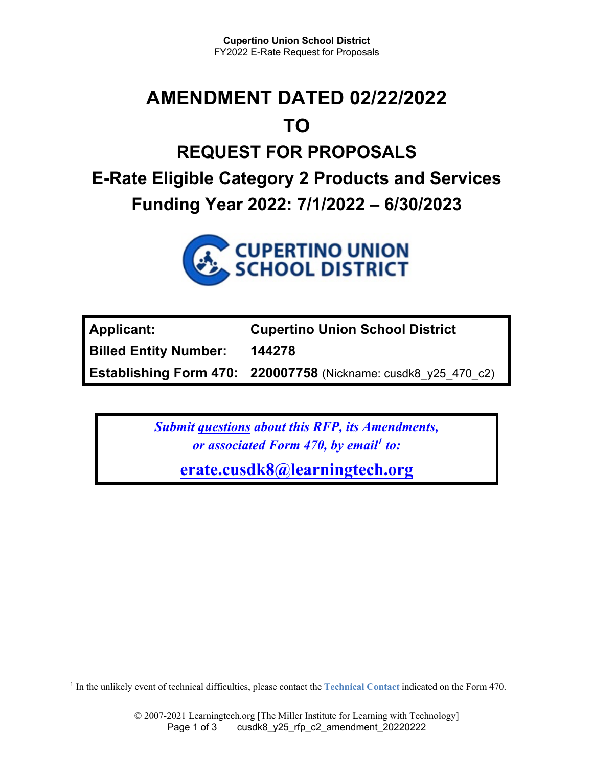# **AMENDMENT DATED 02/22/2022 TO**

## **REQUEST FOR PROPOSALS E-Rate Eligible Category 2 Products and Services Funding Year 2022: 7/1/2022 – 6/30/2023**



| <b>Applicant:</b>            | <b>Cupertino Union School District</b>                         |
|------------------------------|----------------------------------------------------------------|
| <b>Billed Entity Number:</b> | 144278                                                         |
|                              | Establishing Form 470: 220007758 (Nickname: cusdk8_y25_470_c2) |

*Submit questions about this RFP, its Amendments, or associated Form 470, by email<sup>1</sup> to:* 

**erate.cusdk8@learningtech.org**

<sup>&</sup>lt;sup>1</sup> In the unlikely event of technical difficulties, please contact the **Technical Contact** indicated on the Form 470.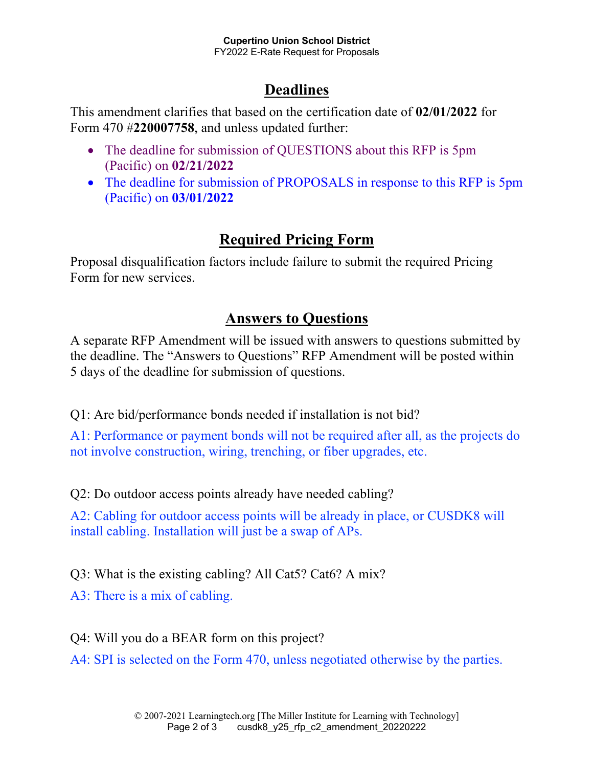### **Deadlines**

This amendment clarifies that based on the certification date of **02/01/2022** for Form 470 #**220007758**, and unless updated further:

- The deadline for submission of QUESTIONS about this RFP is 5pm (Pacific) on **02/21/2022**
- The deadline for submission of PROPOSALS in response to this RFP is 5pm (Pacific) on **03/01/2022**

#### **Required Pricing Form**

Proposal disqualification factors include failure to submit the required Pricing Form for new services.

#### **Answers to Questions**

A separate RFP Amendment will be issued with answers to questions submitted by the deadline. The "Answers to Questions" RFP Amendment will be posted within 5 days of the deadline for submission of questions.

Q1: Are bid/performance bonds needed if installation is not bid?

A1: Performance or payment bonds will not be required after all, as the projects do not involve construction, wiring, trenching, or fiber upgrades, etc.

Q2: Do outdoor access points already have needed cabling?

A2: Cabling for outdoor access points will be already in place, or CUSDK8 will install cabling. Installation will just be a swap of APs.

Q3: What is the existing cabling? All Cat5? Cat6? A mix?

A3: There is a mix of cabling.

Q4: Will you do a BEAR form on this project?

A4: SPI is selected on the Form 470, unless negotiated otherwise by the parties.